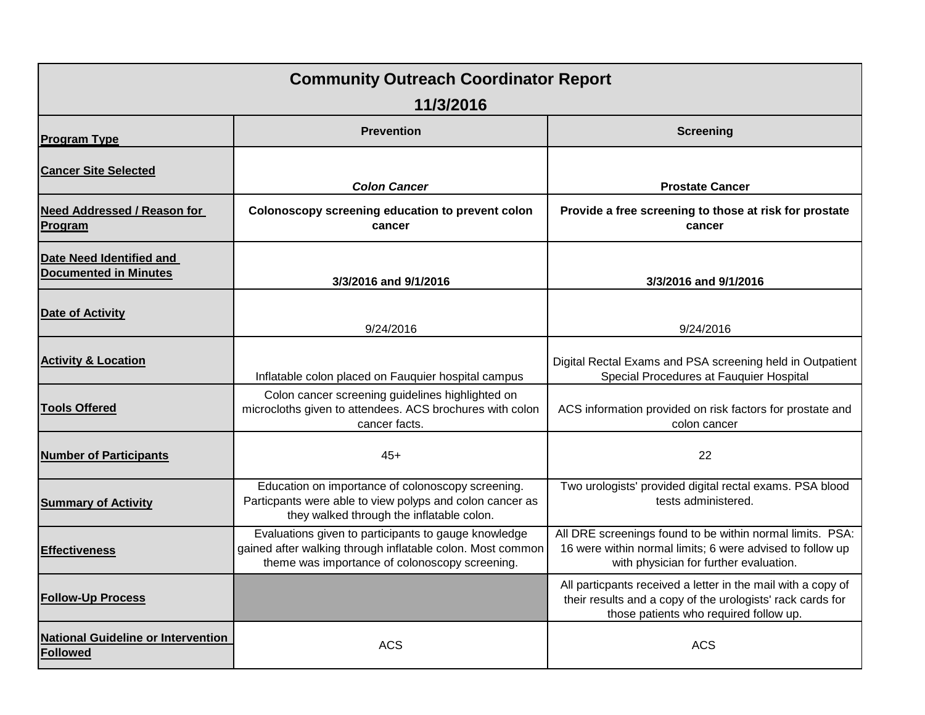| <b>Community Outreach Coordinator Report</b>                 |                                                                                                                                                                      |                                                                                                                                                                      |  |  |  |
|--------------------------------------------------------------|----------------------------------------------------------------------------------------------------------------------------------------------------------------------|----------------------------------------------------------------------------------------------------------------------------------------------------------------------|--|--|--|
| 11/3/2016                                                    |                                                                                                                                                                      |                                                                                                                                                                      |  |  |  |
| <b>Program Type</b>                                          | <b>Prevention</b>                                                                                                                                                    | <b>Screening</b>                                                                                                                                                     |  |  |  |
| <b>Cancer Site Selected</b>                                  | <b>Colon Cancer</b>                                                                                                                                                  | <b>Prostate Cancer</b>                                                                                                                                               |  |  |  |
| Need Addressed / Reason for<br>Program                       | Colonoscopy screening education to prevent colon<br>cancer                                                                                                           | Provide a free screening to those at risk for prostate<br>cancer                                                                                                     |  |  |  |
| Date Need Identified and<br><b>Documented in Minutes</b>     | 3/3/2016 and 9/1/2016                                                                                                                                                | 3/3/2016 and 9/1/2016                                                                                                                                                |  |  |  |
| Date of Activity                                             | 9/24/2016                                                                                                                                                            | 9/24/2016                                                                                                                                                            |  |  |  |
| <b>Activity &amp; Location</b>                               | Inflatable colon placed on Fauquier hospital campus                                                                                                                  | Digital Rectal Exams and PSA screening held in Outpatient<br>Special Procedures at Fauquier Hospital                                                                 |  |  |  |
| <b>Tools Offered</b>                                         | Colon cancer screening guidelines highlighted on<br>microcloths given to attendees. ACS brochures with colon<br>cancer facts.                                        | ACS information provided on risk factors for prostate and<br>colon cancer                                                                                            |  |  |  |
| <b>Number of Participants</b>                                | 45+                                                                                                                                                                  | 22                                                                                                                                                                   |  |  |  |
| <b>Summary of Activity</b>                                   | Education on importance of colonoscopy screening.<br>Particpants were able to view polyps and colon cancer as<br>they walked through the inflatable colon.           | Two urologists' provided digital rectal exams. PSA blood<br>tests administered.                                                                                      |  |  |  |
| <b>Effectiveness</b>                                         | Evaluations given to participants to gauge knowledge<br>gained after walking through inflatable colon. Most common<br>theme was importance of colonoscopy screening. | All DRE screenings found to be within normal limits. PSA:<br>16 were within normal limits; 6 were advised to follow up<br>with physician for further evaluation.     |  |  |  |
| <b>Follow-Up Process</b>                                     |                                                                                                                                                                      | All particpants received a letter in the mail with a copy of<br>their results and a copy of the urologists' rack cards for<br>those patients who required follow up. |  |  |  |
| <b>National Guideline or Intervention</b><br><b>Followed</b> | <b>ACS</b>                                                                                                                                                           | <b>ACS</b>                                                                                                                                                           |  |  |  |